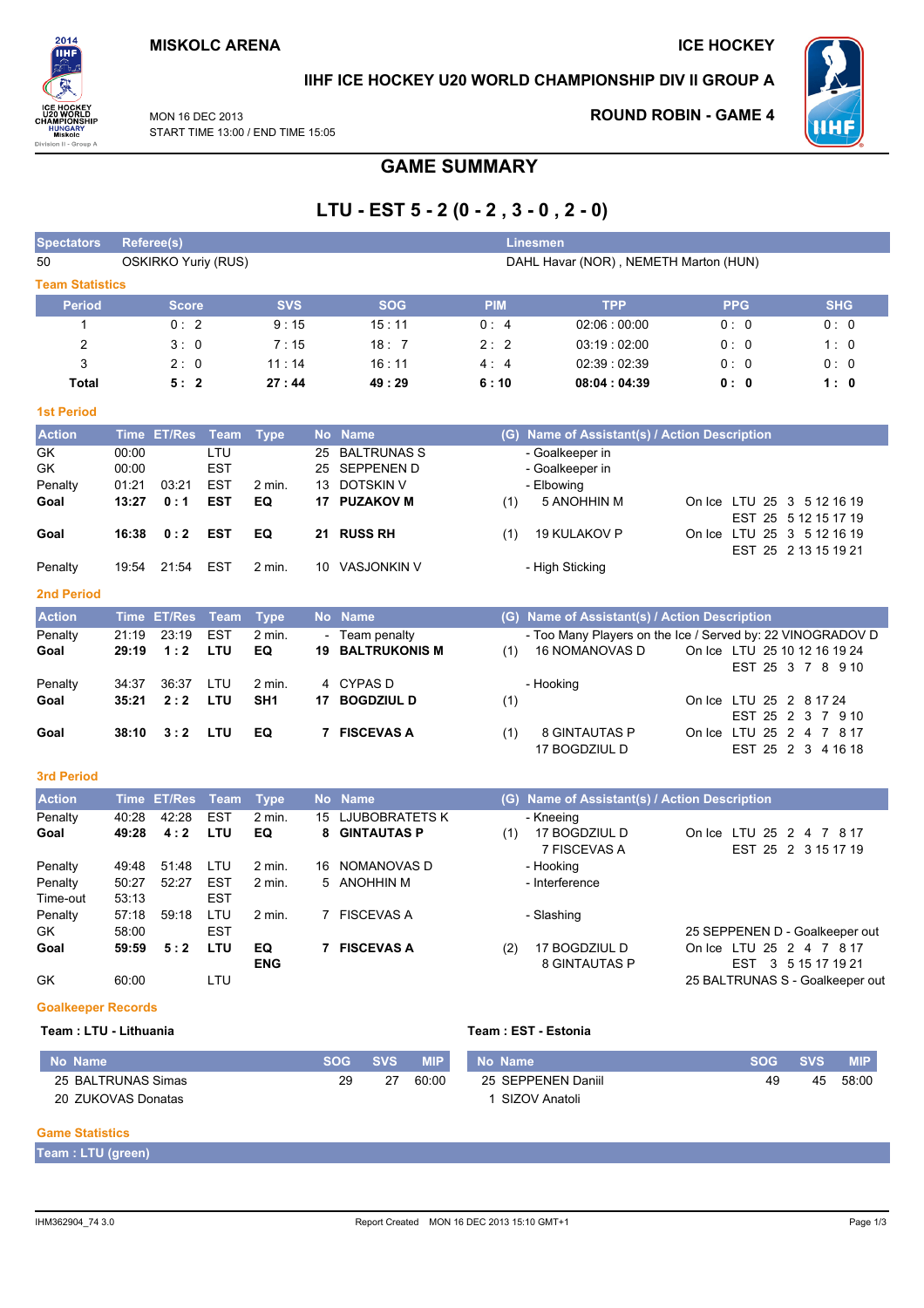

### IIHF ICE HOCKEY U20 WORLD CHAMPIONSHIP DIV II GROUP A

MON 16 DFC 2013 START TIME 13:00 / END TIME 15:05

### **ROUND ROBIN - GAME 4**



# **GAME SUMMARY**

# LTU - EST  $5 - 2 (0 - 2, 3 - 0, 2 - 0)$

| <b>Spectators</b>      |       | Referee(s)                 |             |                  |    |                       |            | Linesmen                                                   |            |                                                    |
|------------------------|-------|----------------------------|-------------|------------------|----|-----------------------|------------|------------------------------------------------------------|------------|----------------------------------------------------|
| 50                     |       | <b>OSKIRKO Yuriy (RUS)</b> |             |                  |    |                       |            | DAHL Havar (NOR), NEMETH Marton (HUN)                      |            |                                                    |
| <b>Team Statistics</b> |       |                            |             |                  |    |                       |            |                                                            |            |                                                    |
| <b>Period</b>          |       | <b>Score</b>               |             | <b>SVS</b>       |    | <b>SOG</b>            | <b>PIM</b> | <b>TPP</b>                                                 | <b>PPG</b> | <b>SHG</b>                                         |
| 1                      |       | 0:2                        |             | 9:15             |    | 15:11                 | 0:4        | 02:06:00:00                                                | 0: 0       | 0:0                                                |
| $\overline{c}$         |       | 3:0                        |             | 7:15             |    | 18:7                  | 2:2        | 03:19:02:00                                                | 0: 0       | 1:0                                                |
| 3                      |       | 2:0                        |             | 11:14            |    | 16:11                 | 4:4        | 02:39:02:39                                                | 0:0        | 0:0                                                |
| <b>Total</b>           |       | 5:2                        |             | 27:44            |    | 49:29                 | 6:10       | 08:04:04:39                                                | 0:0        | 1:0                                                |
| <b>1st Period</b>      |       |                            |             |                  |    |                       |            |                                                            |            |                                                    |
| <b>Action</b>          |       | Time ET/Res                | Team        | <b>Type</b>      |    | No Name               |            | (G) Name of Assistant(s) / Action Description              |            |                                                    |
| GK                     | 00:00 |                            | LTU         |                  | 25 | <b>BALTRUNAS S</b>    |            | - Goalkeeper in                                            |            |                                                    |
| GK                     | 00:00 |                            | <b>EST</b>  |                  | 25 | <b>SEPPENEN D</b>     |            | - Goalkeeper in                                            |            |                                                    |
| Penalty                | 01:21 | 03:21                      | <b>EST</b>  | 2 min.           | 13 | <b>DOTSKIN V</b>      |            | - Elbowing                                                 |            |                                                    |
| Goal                   | 13:27 | 0:1                        | <b>EST</b>  | EQ               | 17 | <b>PUZAKOV M</b>      | (1)        | 5 ANOHHIN M                                                |            | On Ice LTU 25 3 5 12 16 19<br>EST 25 5 12 15 17 19 |
| Goal                   | 16:38 | 0:2                        | <b>EST</b>  | EQ               |    | 21 RUSS RH            | (1)        | 19 KULAKOV P                                               |            | On Ice LTU 25 3 5 12 16 19                         |
|                        |       |                            |             |                  |    |                       |            |                                                            |            | EST 25 2 13 15 19 21                               |
| Penalty                | 19:54 | 21:54                      | <b>EST</b>  | $2$ min.         |    | 10 VASJONKIN V        |            | - High Sticking                                            |            |                                                    |
| 2nd Period             |       |                            |             |                  |    |                       |            |                                                            |            |                                                    |
| <b>Action</b>          |       | Time ET/Res                | <b>Team</b> | <b>Type</b>      |    | No Name               |            | (G) Name of Assistant(s) / Action Description              |            |                                                    |
| Penalty                | 21:19 | 23:19                      | <b>EST</b>  | 2 min.           |    | - Team penalty        |            | - Too Many Players on the Ice / Served by: 22 VINOGRADOV D |            |                                                    |
| Goal                   | 29:19 | 1:2                        | LTU         | EQ               | 19 | <b>BALTRUKONIS M</b>  | (1)        | <b>16 NOMANOVAS D</b>                                      |            | On Ice LTU 25 10 12 16 19 24                       |
| Penalty                | 34:37 | 36:37                      | LTU         | 2 min.           |    | 4 CYPAS D             |            | - Hooking                                                  |            | EST 25 3 7 8 9 10                                  |
| Goal                   | 35:21 | 2:2                        | LTU         | SH <sub>1</sub>  |    | 17 BOGDZIUL D         | (1)        |                                                            |            | On Ice LTU 25 2 8 17 24                            |
|                        |       |                            |             |                  |    |                       |            |                                                            |            | EST 25 2 3 7 9 10                                  |
| Goal                   | 38:10 | 3:2                        | LTU         | EQ               |    | 7 FISCEVAS A          | (1)        | <b>8 GINTAUTAS P</b>                                       |            | On Ice LTU 25 2 4 7 8 17                           |
|                        |       |                            |             |                  |    |                       |            | 17 BOGDZIUL D                                              |            | EST 25 2 3 4 16 18                                 |
| <b>3rd Period</b>      |       |                            |             |                  |    |                       |            |                                                            |            |                                                    |
| <b>Action</b>          |       | Time ET/Res                | <b>Team</b> | <b>Type</b>      |    | No Name               |            | (G) Name of Assistant(s) / Action Description              |            |                                                    |
| Penalty                | 40:28 | 42:28                      | <b>EST</b>  | 2 min.           | 15 | <b>LJUBOBRATETS K</b> |            | - Kneeing                                                  |            |                                                    |
| Goal                   | 49:28 | 4:2                        | LTU         | EQ               | 8  | <b>GINTAUTAS P</b>    | (1)        | 17 BOGDZIUL D<br>7 FISCEVAS A                              |            | On Ice LTU 25 2 4 7 8 17<br>EST 25 2 3 15 17 19    |
| Penalty                | 49:48 | 51:48                      | LTU         | 2 min.           | 16 | NOMANOVAS D           |            | - Hooking                                                  |            |                                                    |
| Penalty                | 50:27 | 52:27                      | <b>EST</b>  | 2 min.           |    | 5 ANOHHIN M           |            | - Interference                                             |            |                                                    |
| Time-out               | 53:13 |                            | <b>EST</b>  |                  |    |                       |            |                                                            |            |                                                    |
| Penalty                | 57:18 | 59:18                      | LTU         | 2 min.           |    | 7 FISCEVAS A          |            | - Slashing                                                 |            |                                                    |
| GK                     | 58:00 |                            | <b>EST</b>  |                  |    |                       |            |                                                            |            | 25 SEPPENEN D - Goalkeeper out                     |
| Goal                   | 59:59 | 5:2                        | LTU         | EQ<br><b>ENG</b> |    | 7 FISCEVAS A          | (2)        | 17 BOGDZIUL D<br><b>8 GINTAUTAS P</b>                      |            | On Ice LTU 25 2 4 7 8 17<br>EST 3 5 15 17 19 21    |
| GK                     | 60:00 |                            | LTU         |                  |    |                       |            |                                                            |            | 25 BALTRUNAS S - Goalkeeper out                    |

#### **Goalkeeper Records** Team : LTU - Lithuania

#### Team : EST - Estonia

| No Name            | <b>SOG</b> | <b>SVS.</b> | <b>MIP</b> | No Name            | <b>SOG</b> | <b>SVS</b> | <b>MIP</b> |
|--------------------|------------|-------------|------------|--------------------|------------|------------|------------|
| 25 BALTRUNAS Simas | 29         | 27          | 60:00      | 25 SEPPENEN Daniil | 49         | 45         | 58:00      |
| 20 ZUKOVAS Donatas |            |             |            | SIZOV Anatoli      |            |            |            |

#### **Game Statistics**

Team : LTU (green)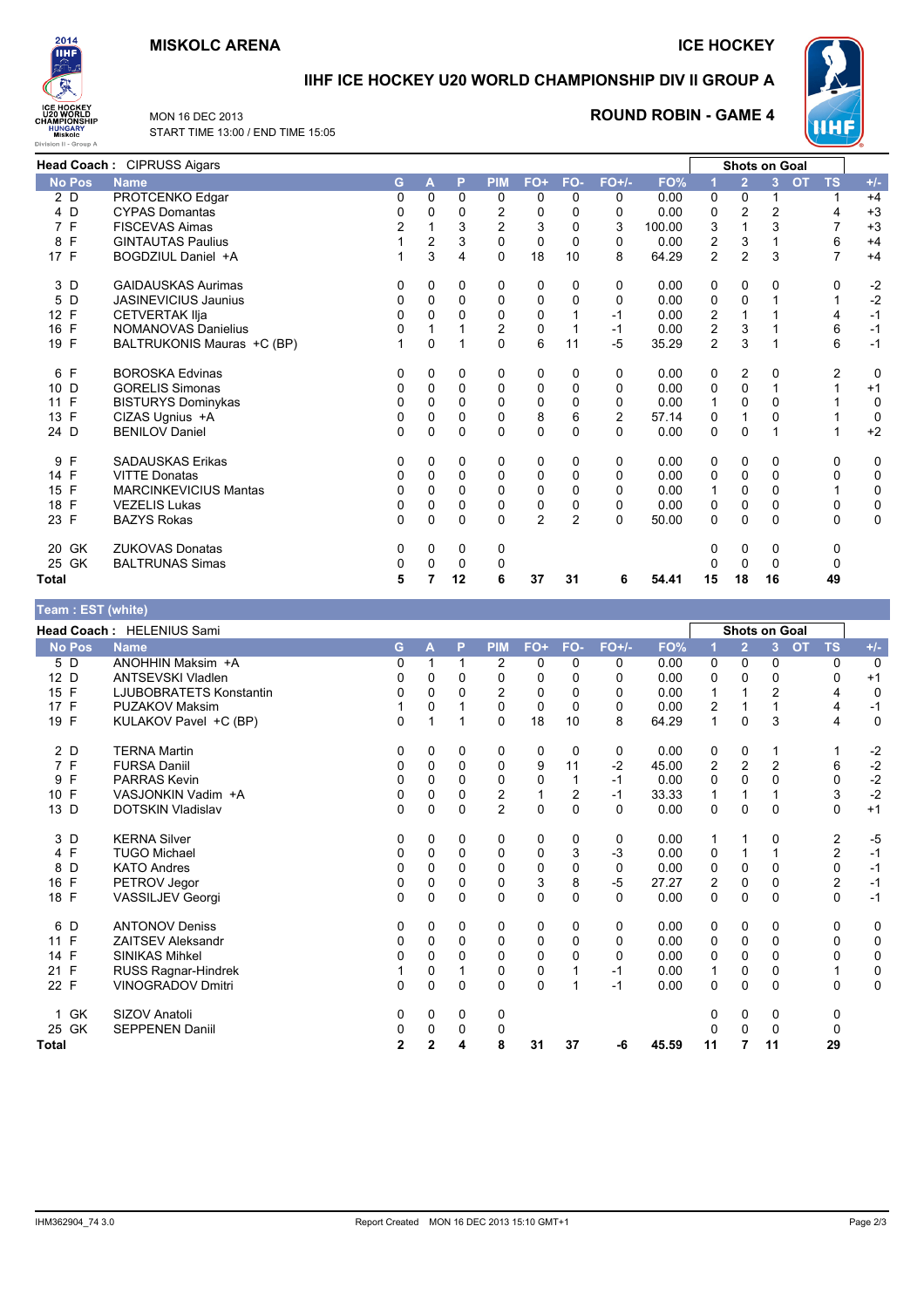#### **MISKOLC ARENA**

**ICE HOCKEY** 



#### **IIHF ICE HOCKEY U20 WORLD CHAMPIONSHIP DIV II GROUP A**

MON 16 DEC 2013 START TIME 13:00 / END TIME 15:05

#### **ROUND ROBIN - GAME 4**



|               | Head Coach: CIPRUSS Aigars   |   |          |             |                |                |                |                |        |                         | <b>Shots on Goal</b> |    |                        |       |
|---------------|------------------------------|---|----------|-------------|----------------|----------------|----------------|----------------|--------|-------------------------|----------------------|----|------------------------|-------|
| <b>No Pos</b> | <b>Name</b>                  | G | A        | P           | <b>PIM</b>     | FO+            | FO-            | $FO+/-$        | FO%    |                         | $\overline{2}$       | 3  | <b>OT</b><br><b>TS</b> | $+/-$ |
| 2 D           | PROTCENKO Edgar              | 0 | 0        | 0           | 0              | 0              | 0              | 0              | 0.00   | 0                       | 0                    |    | 1                      | $+4$  |
| 4 D           | <b>CYPAS Domantas</b>        |   | ი        | 0           | 2              | 0              | 0              | 0              | 0.00   | 0                       | 2                    | 2  | 4                      | $+3$  |
| 7 F           | <b>FISCEVAS Aimas</b>        |   |          | 3           | $\overline{2}$ | 3              | 0              | 3              | 100.00 | 3                       |                      | 3  | 7                      | $+3$  |
| F<br>8        | <b>GINTAUTAS Paulius</b>     |   | 2        | 3           | 0              | 0              | 0              | 0              | 0.00   | 2                       | 3                    |    | 6                      | $+4$  |
| 17 F          | BOGDZIUL Daniel +A           |   | 3        | 4           | $\Omega$       | 18             | 10             | 8              | 64.29  | $\overline{c}$          | $\overline{c}$       | 3  | 7                      | $+4$  |
| 3 D           | <b>GAIDAUSKAS Aurimas</b>    | 0 | 0        | 0           | 0              | 0              | 0              | 0              | 0.00   | 0                       | 0                    | 0  | 0                      | $-2$  |
| 5 D           | <b>JASINEVICIUS Jaunius</b>  | 0 | 0        | 0           | 0              | 0              | 0              | 0              | 0.00   | 0                       | 0                    |    |                        | $-2$  |
| 12 F          | <b>CETVERTAK IIja</b>        | 0 | 0        | 0           | 0              | 0              |                | -1             | 0.00   | 2                       |                      |    | 4                      | $-1$  |
| 16 F          | NOMANOVAS Danielius          |   |          |             | $\overline{2}$ | 0              |                | $-1$           | 0.00   | $\overline{\mathbf{c}}$ | 3                    |    | 6                      | $-1$  |
| 19 F          | BALTRUKONIS Mauras +C (BP)   |   | 0        |             | $\Omega$       | 6              | 11             | $-5$           | 35.29  | 2                       | 3                    |    | 6                      | $-1$  |
| F<br>6        | <b>BOROSKA Edvinas</b>       | 0 | 0        | 0           | 0              | 0              | 0              | 0              | 0.00   | 0                       | 2                    | 0  | 2                      | 0     |
| 10 D          | <b>GORELIS Simonas</b>       | 0 | 0        | 0           | $\Omega$       | 0              | 0              | 0              | 0.00   | 0                       | 0                    |    |                        | $+1$  |
| 11 F          | <b>BISTURYS Dominykas</b>    | O | 0        | 0           | 0              | 0              | 0              | 0              | 0.00   |                         | 0                    | 0  |                        | 0     |
| F<br>13       | CIZAS Ugnius +A              | 0 | 0        | 0           | 0              | 8              | 6              | $\overline{2}$ | 57.14  | 0                       |                      | 0  |                        | 0     |
| 24 D          | <b>BENILOV Daniel</b>        | 0 | 0        | $\Omega$    | $\Omega$       | 0              | 0              | 0              | 0.00   | $\mathbf 0$             | 0                    |    |                        | $+2$  |
| 9<br>F        | <b>SADAUSKAS Erikas</b>      | 0 | 0        | 0           | 0              | 0              | 0              | 0              | 0.00   | 0                       | 0                    | 0  | 0                      | 0     |
| 14 F          | <b>VITTE Donatas</b>         | 0 | 0        | $\mathbf 0$ | 0              | 0              | 0              | 0              | 0.00   | 0                       | 0                    | 0  | 0                      | 0     |
| 15 F          | <b>MARCINKEVICIUS Mantas</b> | O | $\Omega$ | 0           | 0              | 0              | 0              | 0              | 0.00   | 1                       | $\Omega$             | 0  |                        | 0     |
| 18 F          | <b>VEZELIS Lukas</b>         | 0 | 0        | 0           | 0              | 0              | 0              | 0              | 0.00   | 0                       | 0                    | 0  | 0                      | 0     |
| 23 F          | <b>BAZYS Rokas</b>           | 0 | $\Omega$ | 0           | $\Omega$       | $\overline{2}$ | $\overline{2}$ | $\Omega$       | 50.00  | 0                       | $\mathbf 0$          | 0  | $\mathbf 0$            | 0     |
| 20 GK         | <b>ZUKOVAS Donatas</b>       | 0 | 0        | 0           | 0              |                |                |                |        | 0                       | 0                    | 0  | 0                      |       |
| 25 GK         | <b>BALTRUNAS Simas</b>       | O | 0        | 0           | 0              |                |                |                |        | $\Omega$                | 0                    | 0  | 0                      |       |
| Total         |                              |   |          | 12          | 6              | 37             | 31             | 6              | 54.41  | 15                      | 18                   | 16 | 49                     |       |

#### Team : EST (white) Head Coach: HELENIUS Sami Shots on Goal  $FO+/-$ No Pos P **PIM**  $FO+$ FO-**Name** G  $\Delta$ **FO**  $\overline{2}$  $\mathbf{R}$ **OT** TS  $5\overline{D}$ ANOHHIN Maksim +A  $\overline{0}$  $\overline{2}$  $\overline{0}$  $\overline{0}$  $\overline{0}$  $0.00$  $\overline{0}$  $\overline{0}$  $\overline{0}$  $\overline{0}$  $\overline{0}$  $\overline{1}$  $\overline{1}$  $12D$ **ANTSEVSKI Vladlen**  $\mathbf 0$  $\mathbf 0$  $\mathbf 0$  $0.00$  $\mathbf 0$  $\Omega$  $\Omega$  $\Omega$  $\Omega$  $\Omega$  $\Omega$  $\Omega$  $+1$ 15 F LJUBOBRATETS Konstantin  $\mathsf 0$  $\Omega$  $\mathbf 0$  $\overline{c}$  $\pmb{0}$  $\pmb{0}$  $\mathsf 0$  $0.00$  $\mathbf{1}$  $\overline{1}$  $\overline{\phantom{a}}$  $\overline{4}$  $\pmb{0}$  $17 F$ **PUZAKOV Maksim**  $\mathbf 0$  $\mathbf 0$  $\mathbf 0$  $\mathbf 0$  $0.00$  $\overline{2}$  $\overline{4}$  $\mathbf 0$  $\mathbf{1}$  $\overline{1}$  $-1$  $\mathbf{1}$  $\mathbf{1}$ KULAKOV Pavel +C (BP)  $19 F$  $\Omega$  $\Omega$ 18  $10$  $\mathsf{R}$ 64.29  $\Omega$  $\overline{3}$  $\overline{4}$  $\mathbf 0$  $\overline{1}$  $\overline{1}$  $\overline{1}$  $2D$ **TERNA Martin**  $\mathbf 0$  $\mathbf 0$  $\mathbf 0$  $\mathbf 0$  $\mathbf 0$  $\mathbf 0$  $\mathbf 0$  $0.00$  $\mathbf 0$  $-2$  $\Omega$  $\mathbf{1}$  $\mathbf{1}$  $\overline{7}$  F **FURSA Daniil**  $-2$  $-2$ 45.00 6  $\Omega$  $\Omega$  $\Omega$  $\Omega$  $\mathbf{Q}$  $11$  $\mathcal{P}$  $\mathcal{D}$  $\mathcal{P}$ 9 F PARRAS Kevin  $\mathsf 0$  $\mathsf{O}\xspace$  $\mathbf 0$  $\pmb{0}$  $\pmb{0}$  $-1$  $0.00$  $\mathsf{O}\xspace$  $\mathbf 0$  $\mathsf 0$  $\pmb{0}$  $-2$  $\mathbf{1}$  $10 F$ VASJONKIN Vadim +A  $-1$ 33.33  $-2$  $\mathbf 0$  $\overline{0}$  $\mathbf{0}$  $\overline{2}$  $\overline{2}$  $\overline{3}$  $\overline{1}$  $\overline{1}$  $\overline{1}$  $\mathbf{1}$ **DOTSKIN Vladislav**  $\mathbf 0$  $13<sub>D</sub>$ 0  $\Omega$  $\mathbf 0$  $\overline{2}$  $\mathbf{0}$  $\mathbf 0$  $0.00$  $\Omega$  $\overline{0}$  $\Omega$  $\Omega$  $+1$  $3D$ **KERNA Silver**  $\mathbf 0$  $\mathbf{0}$  $\mathbf{0}$  $\mathbf{0}$  $\mathbf{0}$  $\Omega$  $\mathbf{0}$  $0.00$  $\Omega$  $\overline{2}$  $-5$  $\overline{1}$  $\overline{1}$ **TUGO Michael** 4 F  $\pmb{0}$  $\pmb{0}$  $\pmb{0}$  $\pmb{0}$  $\pmb{0}$ 3  $-3$  $0.00$  $\pmb{0}$  $\mathbf{1}$  $\mathbf 1$  $\overline{2}$  $-1$ 8 D **KATO Andres**  $\mathbf 0$  $\mathbf 0$  $\mathbf 0$  $\mathbf 0$  $\mathbf 0$  $\mathbf 0$  $0.00$  $\mathbf 0$  $\mathbf 0$  $\mathbf 0$  $\mathbf 0$  $\mathbf 0$  $-1$ PETROV Jegor 8  $-5$ 27.27  $16F$  $\Omega$  $\Omega$  $\Omega$  $\Omega$ 3  $\mathcal{P}$  $\Omega$  $\Omega$  $\mathcal{P}$  $-1$ 18 F VASSILJEV Georgi  $\mathbf 0$  $\mathbf 0$  $\overline{0}$  $\mathbf 0$  $\Omega$  $\mathbf 0$  $\mathbf 0$  $0.00$  $\Omega$  $\Omega$  $\Omega$  $\Omega$  $-1$ 6 D **ANTONOV Deniss**  $\Omega$  $\Omega$  $\Omega$  $\Omega$  $\Omega$  $\overline{0}$  $\Omega$  $0.00$  $\Omega$  $\Omega$  $\Omega$  $\Omega$  $\Omega$ 11 F ZAITSEV Aleksandr  $\pmb{0}$  $\pmb{0}$  $\mathbf 0$  $\pmb{0}$  $\pmb{0}$  $\mathbf 0$  $\mathsf 0$  $0.00$  $\pmb{0}$  $\pmb{0}$  $\mathbf 0$  $\pmb{0}$  $\pmb{0}$ 14 F **SINIKAS Mihkel**  $0.00$  $\Omega$  $\Omega$  $\Omega$  $\Omega$  $\Omega$  $\Omega$  $\Omega$  $\Omega$  $\Omega$  $\Omega$  $\Omega$  $\Omega$  $21 F$ RUSS Ragnar-Hindrek  $\overline{1}$  $\Omega$  $\overline{1}$  $\Omega$  $\Omega$  $\mathbf{1}$  $-1$  $0.00$  $\overline{1}$  $\Omega$  $\Omega$  $\mathbf{1}$  $\Omega$ 22 F VINOGRADOV Dmitri  $\pmb{0}$  $\pmb{0}$  $\pmb{0}$  $\pmb{0}$  $\pmb{0}$  $\overline{1}$  $-1$  $0.00$  $\mathbf 0$  $\pmb{0}$  $\mathbf 0$  $\pmb{0}$  $\pmb{0}$ SIZOV Anatoli  $\overline{0}$  $\overline{0}$ 1 GK  $\Omega$  $\Omega$  $\Omega$  $\Omega$  $\Omega$  $\Omega$ 25 GK **SEPPENEN Daniil** 0  $\mathbf 0$  $\mathbf 0$  $\mathbf 0$  $\overline{0}$  $\mathbf 0$  $\overline{0}$  $\mathbf 0$ **Total** 45.59  $\overline{2}$  $\overline{2}$  $\overline{\mathbf{A}}$ 8  $31$  $37$ -6  $11$  $\overline{7}$  $11$ 29